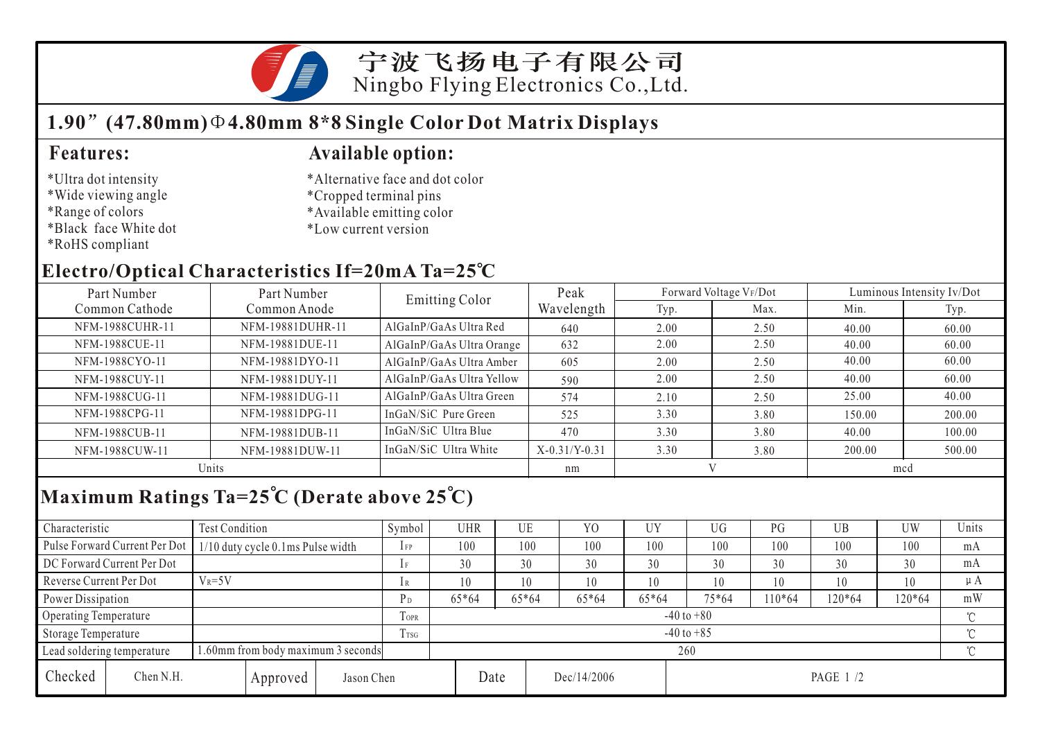

#### **1.90 (47.80mm) 4.80mm 8\*8 Single Color Dot Matrix Displays**

#### \*Ultra dot intensity

- \*Wide viewing angle
- \*Range of colors
- \*Black face White dot
- \*RoHS compliant

#### **Features: Available option:**

- \*Alternative face and dot color
- \*Cropped terminal pins
- \*Available emitting color
- \*Low current version

### **Electro/Optical Characteristics If=20mA Ta=25 C**

| Part Number     | Part Number      | <b>Emitting Color</b>     | Peak            |      | Forward Voltage VF/Dot | Luminous Intensity Iv/Dot |        |  |
|-----------------|------------------|---------------------------|-----------------|------|------------------------|---------------------------|--------|--|
| Common Cathode  | Common Anode     |                           | Wavelength      | Typ. | Max.                   | Min.                      | Typ.   |  |
| NFM-1988CUHR-11 | NFM-19881DUHR-11 | AlGaInP/GaAs Ultra Red    | 640             | 2.00 | 2.50                   | 40.00                     | 60.00  |  |
| NFM-1988CUE-11  | NFM-19881DUE-11  | AlGaInP/GaAs Ultra Orange | 632             | 2.00 | 2.50                   | 40.00                     | 60.00  |  |
| NFM-1988CYO-11  | NFM-19881DYO-11  | AlGaInP/GaAs Ultra Amber  | 605             | 2.00 | 2.50                   | 40.00                     | 60.00  |  |
| NFM-1988CUY-11  | NFM-19881DUY-11  | AlGaInP/GaAs Ultra Yellow | 590             | 2.00 | 2.50                   | 40.00                     | 60.00  |  |
| NFM-1988CUG-11  | NFM-19881DUG-11  | AlGaInP/GaAs Ultra Green  | 574             | 2.10 | 2.50                   | 25.00                     | 40.00  |  |
| NFM-1988CPG-11  | NFM-19881DPG-11  | InGaN/SiC Pure Green      | 525             | 3.30 | 3.80                   | 150.00                    | 200.00 |  |
| NFM-1988CUB-11  | NFM-19881DUB-11  | InGaN/SiC Ultra Blue      | 470             | 3.30 | 3.80                   | 40.00                     | 100.00 |  |
| NFM-1988CUW-11  | NFM-19881DUW-11  | InGaN/SiC Ultra White     | $X-0.31/Y-0.31$ | 3.30 | 3.80                   | 200.00                    | 500.00 |  |
|                 | Units            |                           | nm              |      |                        | mcd                       |        |  |

# **Maximum Ratings Ta=25 C (Derate above 25 C)**

| Characteristic                                                  |                               | Test Condition                    |                |                | Symbol         | UHR   |       | UE      | Y <sub>0</sub> | UY      | UG       | PG     | UB  | UW       | Units   |  |
|-----------------------------------------------------------------|-------------------------------|-----------------------------------|----------------|----------------|----------------|-------|-------|---------|----------------|---------|----------|--------|-----|----------|---------|--|
|                                                                 | Pulse Forward Current Per Dot | 1/10 duty cycle 0.1ms Pulse width |                |                | $1$ FP         | 100   |       | 100     | 100            | 100     | 100      | 100    | 100 | 100      | mA      |  |
| DC Forward Current Per Dot                                      |                               |                                   |                | 1F             | 30             |       | 30    | 30      | 30             | 30      | 30       | 30     | 30  | mA       |         |  |
| Reverse Current Per Dot                                         |                               | $V_R = 5V$                        |                |                | 1R             | 10    |       | 10      | 10             | 10      | 10       | 10     | 10  | 10       | $\mu A$ |  |
| Power Dissipation                                               |                               |                                   | P <sub>D</sub> | $65*64$        |                | 65*64 | 65*64 | $65*64$ | 75*64          | $10*64$ | $120*64$ | 120*64 | mW  |          |         |  |
| Operating Temperature                                           |                               |                                   | TOPR           | $-40$ to $+80$ |                |       |       |         |                |         |          |        |     |          |         |  |
| Storage Temperature                                             |                               |                                   |                | Trsg           | $-40$ to $+85$ |       |       |         |                |         |          |        |     | $\gamma$ |         |  |
| .60mm from body maximum 3 seconds<br>Lead soldering temperature |                               |                                   |                | 260            |                |       |       |         |                |         |          |        |     |          |         |  |
| Checked                                                         | Chen N.H.                     |                                   | Approved       | Jason Chen     |                |       | Date  |         | Dec/14/2006    |         | PAGE 1/2 |        |     |          |         |  |